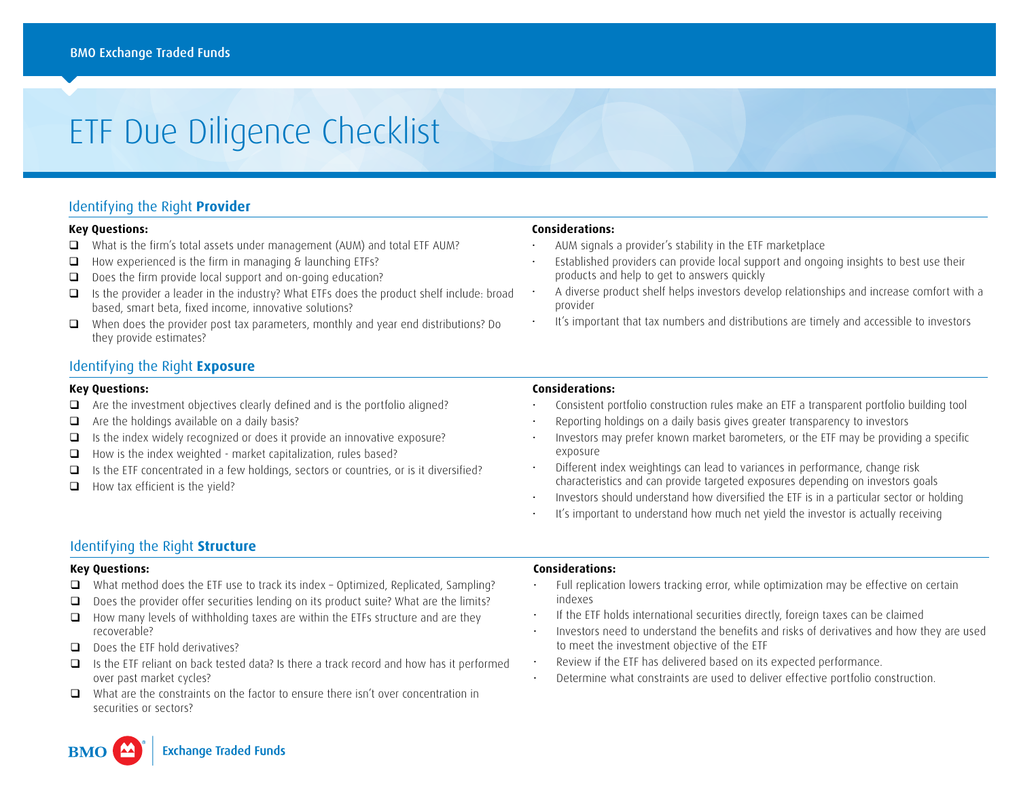# ETF Due Diligence Checklist

## Identifying the Right **Provider**

#### **Key Questions:**

- □ What is the firm's total assets under management (AUM) and total ETF AUM?
- $\Box$  How experienced is the firm in managing  $\delta$  launching ETFs?
- □ Does the firm provide local support and on-going education?
- $\Box$  Is the provider a leader in the industry? What ETFs does the product shelf include: broad based, smart beta, fixed income, innovative solutions?
- When does the provider post tax parameters, monthly and year end distributions? Do they provide estimates?

### Identifying the Right **Exposure**

#### **Key Questions:**

- $\Box$  Are the investment objectives clearly defined and is the portfolio aligned?
- $\Box$  Are the holdings available on a daily basis?
- $\Box$  Is the index widely recognized or does it provide an innovative exposure?
- How is the index weighted market capitalization, rules based?
- $\Box$  Is the ETF concentrated in a few holdings, sectors or countries, or is it diversified?
- $\Box$  How tax efficient is the yield?

#### **Considerations:**

- AUM signals a provider's stability in the ETF marketplace
- Established providers can provide local support and ongoing insights to best use their products and help to get to answers quickly
- A diverse product shelf helps investors develop relationships and increase comfort with a provider
- It's important that tax numbers and distributions are timely and accessible to investors

#### **Considerations:**

- Consistent portfolio construction rules make an ETF a transparent portfolio building tool
- Reporting holdings on a daily basis gives greater transparency to investors
- Investors may prefer known market barometers, or the ETF may be providing a specific exposure
- Different index weightings can lead to variances in performance, change risk characteristics and can provide targeted exposures depending on investors goals
- Investors should understand how diversified the ETF is in a particular sector or holding
- It's important to understand how much net yield the investor is actually receiving

## Identifying the Right **Structure**

#### **Key Questions:**

- $\Box$  What method does the ETF use to track its index Optimized, Replicated, Sampling?
- Does the provider offer securities lending on its product suite? What are the limits?
- $\Box$  How many levels of withholding taxes are within the ETFs structure and are they recoverable?
- $\Box$  Does the FTF hold derivatives?
- $\Box$  Is the ETF reliant on back tested data? Is there a track record and how has it performed over past market cycles?
- $\Box$  What are the constraints on the factor to ensure there isn't over concentration in securities or sectors?

#### **Considerations:**

- Full replication lowers tracking error, while optimization may be effective on certain indexes
- If the ETF holds international securities directly, foreign taxes can be claimed
- Investors need to understand the benefits and risks of derivatives and how they are used to meet the investment objective of the ETF
- Review if the ETF has delivered based on its expected performance.
- Determine what constraints are used to deliver effective portfolio construction.